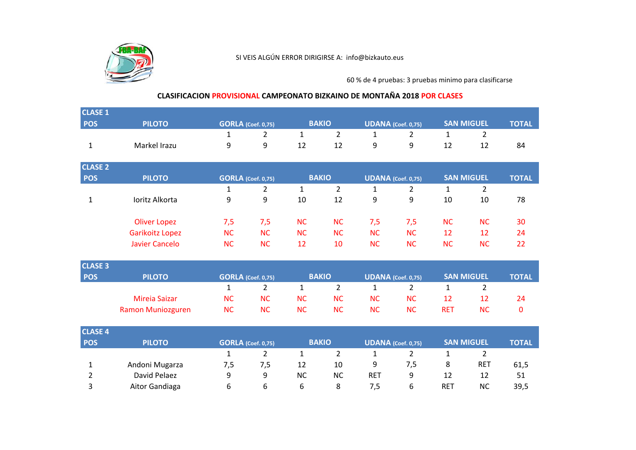

60 % de 4 pruebas: 3 pruebas minimo para clasificarse

## **CLASIFICACION PROVISIONAL CAMPEONATO BIZKAINO DE MONTAÑA 2018 POR CLASES**

| <b>CLASE 1</b> |                          |              |                           |              |                |                           |                           |                   |                   |              |
|----------------|--------------------------|--------------|---------------------------|--------------|----------------|---------------------------|---------------------------|-------------------|-------------------|--------------|
| POS            | <b>PILOTO</b>            |              | <b>GORLA</b> (Coef. 0,75) |              | <b>BAKIO</b>   |                           | <b>UDANA</b> (Coef. 0,75) |                   | <b>SAN MIGUEL</b> | <b>TOTAL</b> |
|                |                          | $\mathbf{1}$ | $\overline{2}$            | $\mathbf{1}$ | $\overline{2}$ | 1                         | $\overline{2}$            | $\mathbf{1}$      | $\overline{2}$    |              |
| $\mathbf{1}$   | Markel Irazu             | 9            | 9                         | 12           | 12             | 9                         | 9                         | 12                | 12                | 84           |
| <b>CLASE 2</b> |                          |              |                           |              |                |                           |                           |                   |                   | <b>TOTAL</b> |
| POS            | <b>PILOTO</b>            |              | <b>GORLA</b> (Coef. 0,75) |              | <b>BAKIO</b>   |                           | <b>UDANA</b> (Coef. 0,75) |                   | <b>SAN MIGUEL</b> |              |
|                |                          | $\mathbf{1}$ | $\overline{2}$            | $\mathbf{1}$ | $\overline{2}$ | $\mathbf{1}$              | $\overline{2}$            | $\mathbf{1}$      | $\overline{2}$    |              |
| $\mathbf 1$    | Ioritz Alkorta           | 9            | 9                         | 10           | 12             | 9                         | 9                         | 10                | 10                | 78           |
|                | <b>Oliver Lopez</b>      | 7,5          | 7,5                       | <b>NC</b>    | <b>NC</b>      | 7,5                       | 7,5                       | <b>NC</b>         | <b>NC</b>         | 30           |
|                | Garikoitz Lopez          | <b>NC</b>    | <b>NC</b>                 | <b>NC</b>    | <b>NC</b>      | <b>NC</b>                 | <b>NC</b>                 | 12                | 12                | 24           |
|                | <b>Javier Cancelo</b>    | <b>NC</b>    | <b>NC</b>                 | 12           | 10             | <b>NC</b>                 | <b>NC</b>                 | <b>NC</b>         | <b>NC</b>         | 22           |
| <b>CLASE 3</b> |                          |              |                           |              |                |                           |                           |                   |                   |              |
| <b>POS</b>     | <b>PILOTO</b>            |              | <b>GORLA</b> (Coef. 0,75) | <b>BAKIO</b> |                | <b>UDANA</b> (Coef. 0,75) |                           | <b>SAN MIGUEL</b> |                   | <b>TOTAL</b> |
|                |                          | $\mathbf{1}$ | $\overline{2}$            | $\mathbf{1}$ | $\overline{2}$ | $\mathbf{1}$              | $\overline{2}$            | $\mathbf{1}$      | $\overline{2}$    |              |
|                | <b>Mireia Saizar</b>     | <b>NC</b>    | <b>NC</b>                 | <b>NC</b>    | <b>NC</b>      | <b>NC</b>                 | <b>NC</b>                 | 12                | 12                | 24           |
|                | <b>Ramon Muniozguren</b> | <b>NC</b>    | <b>NC</b>                 | <b>NC</b>    | <b>NC</b>      | <b>NC</b>                 | <b>NC</b>                 | <b>RET</b>        | <b>NC</b>         | $\mathbf 0$  |
| <b>CLASE 4</b> |                          |              |                           |              |                |                           |                           |                   |                   |              |
| <b>POS</b>     | <b>PILOTO</b>            |              | <b>GORLA</b> (Coef. 0,75) |              | <b>BAKIO</b>   |                           | <b>UDANA</b> (Coef. 0,75) |                   | <b>SAN MIGUEL</b> | <b>TOTAL</b> |
|                |                          | 1            | $\overline{2}$            | 1            | $\overline{2}$ | 1                         | $\overline{2}$            | $\mathbf{1}$      | $\overline{2}$    |              |
| $\mathbf{1}$   | Andoni Mugarza           | 7,5          | 7,5                       | 12           | 10             | 9                         | 7,5                       | 8                 | <b>RET</b>        | 61,5         |
| $\overline{2}$ | David Pelaez             | 9            | 9                         | <b>NC</b>    | <b>NC</b>      | <b>RET</b>                | 9                         | 12                | 12                | 51           |
| 3              | Aitor Gandiaga           | 6            | 6                         | 6            | 8              | 7,5                       | 6                         | <b>RET</b>        | <b>NC</b>         | 39,5         |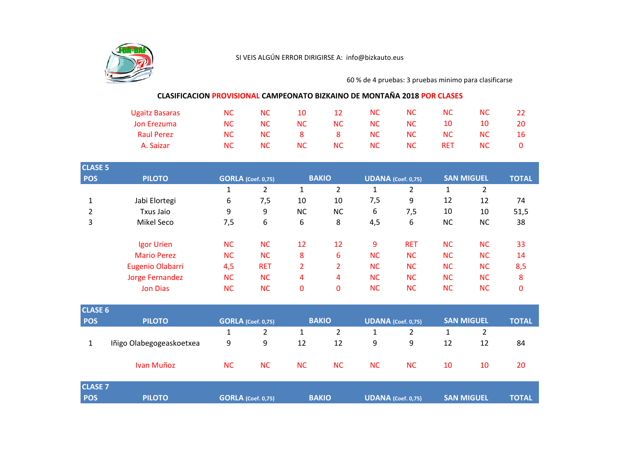

60 % de 4 pruebas: 3 pruebas minimo para clasificarse

## **CLASIFICACION PROVISIONAL CAMPEONATO BIZKAINO DE MONTAÑA 2018 POR CLASES**

| <b>Ugaitz Basaras</b> | NС  | NС  | 10  | 12  | NC. | NC. | NС        | NC        |    |
|-----------------------|-----|-----|-----|-----|-----|-----|-----------|-----------|----|
| Jon Erezuma           | NC. | NС  | NC. | NC. | NC. | NC. | 10        | 10        | 20 |
| <b>Raul Perez</b>     | NC. | NC. | 8.  | 8   | NC. | NC. | <b>NC</b> | <b>NC</b> | 16 |
| A. Saizar             | NС  | NС  | NC. | NC. | NC. | NC. | RET       | <b>NC</b> |    |

| <b>CLASE 5</b> |                    |                           |                |                |                |           |                    |           |                   | <b>TOTAL</b> |
|----------------|--------------------|---------------------------|----------------|----------------|----------------|-----------|--------------------|-----------|-------------------|--------------|
| <b>POS</b>     | <b>PILOTO</b>      | <b>GORLA</b> (Coef. 0,75) |                | <b>BAKIO</b>   |                |           | UDANA (Coef. 0,75) |           | <b>SAN MIGUEL</b> |              |
|                |                    | Ŧ.                        | $\overline{2}$ | $\mathbf{1}$   | 2              | 1         | 2                  | 1         | 2                 |              |
| 1              | Jabi Elortegi      | 6                         | 7,5            | 10             | 10             | 7,5       | 9                  | 12        | 12                | 74           |
| 2              | Txus Jaio          | 9                         | 9              | <b>NC</b>      | NC             | 6         | 7,5                | 10        | 10                | 51,5         |
| 3              | Mikel Seco         | 7,5                       | 6              | 6              | 8              | 4,5       | 6                  | <b>NC</b> | <b>NC</b>         | 38           |
|                | Igor Urien         | <b>NC</b>                 | <b>NC</b>      | 12             | 12             | 9         | <b>RET</b>         | <b>NC</b> | <b>NC</b>         | 33           |
|                | <b>Mario Perez</b> | <b>NC</b>                 | <b>NC</b>      | 8              | 6              | <b>NC</b> | <b>NC</b>          | <b>NC</b> | <b>NC</b>         | 14           |
|                | Eugenio Olabarri   | 4,5                       | <b>RET</b>     | $\overline{2}$ | $\overline{2}$ | <b>NC</b> | <b>NC</b>          | <b>NC</b> | <b>NC</b>         | 8,5          |
|                | Jorge Fernandez    | <b>NC</b>                 | <b>NC</b>      | 4              | 4              | <b>NC</b> | <b>NC</b>          | <b>NC</b> | <b>NC</b>         | 8            |
|                | <b>Jon Dias</b>    | <b>NC</b>                 | <b>NC</b>      | 0              | 0              | <b>NC</b> | <b>NC</b>          | <b>NC</b> | <b>NC</b>         | 0            |

| <b>CLASE 6</b> |                          |                           |           |              |              |                           |                    |                   |              |              |
|----------------|--------------------------|---------------------------|-----------|--------------|--------------|---------------------------|--------------------|-------------------|--------------|--------------|
| <b>POS</b>     | <b>PILOTO</b>            | <b>GORLA</b> (Coef. 0,75) |           | <b>BAKIO</b> |              | <b>UDANA</b> (Coef. 0,75) |                    | <b>SAN MIGUEL</b> |              | <b>TOTAL</b> |
|                |                          |                           | 2         |              | $\mathbf{2}$ |                           | 2                  |                   | 2            |              |
|                | Iñigo Olabegogeaskoetxea | 9                         | 9         | 12           | 12           | 9                         | 9                  | 12                | 12           | 84           |
|                | Ivan Muñoz               | <b>NC</b>                 | <b>NC</b> | <b>NC</b>    | <b>NC</b>    | <b>NC</b>                 | <b>NC</b>          | 10                | 10           | 20           |
| <b>CLASE 7</b> |                          |                           |           |              |              |                           |                    |                   |              |              |
| <b>POS</b>     | <b>PILOTO</b>            | <b>GORLA</b> (Coef. 0,75) |           | <b>BAKIO</b> |              |                           | UDANA (Coef. 0,75) | <b>SAN MIGUEL</b> | <b>TOTAL</b> |              |